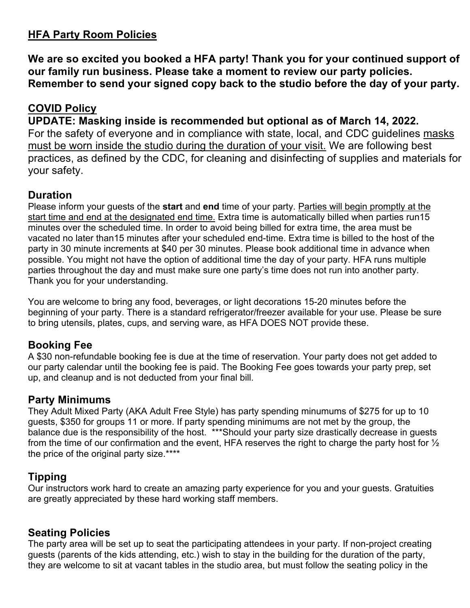# **HFA Party Room Policies**

**We are so excited you booked a HFA party! Thank you for your continued support of our family run business. Please take a moment to review our party policies. Remember to send your signed copy back to the studio before the day of your party.**

# **COVID Policy**

#### **UPDATE: Masking inside is recommended but optional as of March 14, 2022.**

For the safety of everyone and in compliance with state, local, and CDC guidelines masks must be worn inside the studio during the duration of your visit. We are following best practices, as defined by the CDC, for cleaning and disinfecting of supplies and materials for your safety.

## **Duration**

Please inform your guests of the **start** and **end** time of your party. Parties will begin promptly at the start time and end at the designated end time. Extra time is automatically billed when parties run15 minutes over the scheduled time. In order to avoid being billed for extra time, the area must be vacated no later than15 minutes after your scheduled end-time. Extra time is billed to the host of the party in 30 minute increments at \$40 per 30 minutes. Please book additional time in advance when possible. You might not have the option of additional time the day of your party. HFA runs multiple parties throughout the day and must make sure one party's time does not run into another party. Thank you for your understanding.

You are welcome to bring any food, beverages, or light decorations 15-20 minutes before the beginning of your party. There is a standard refrigerator/freezer available for your use. Please be sure to bring utensils, plates, cups, and serving ware, as HFA DOES NOT provide these.

## **Booking Fee**

A \$30 non-refundable booking fee is due at the time of reservation. Your party does not get added to our party calendar until the booking fee is paid. The Booking Fee goes towards your party prep, set up, and cleanup and is not deducted from your final bill.

## **Party Minimums**

They Adult Mixed Party (AKA Adult Free Style) has party spending minumums of \$275 for up to 10 guests, \$350 for groups 11 or more. If party spending minimums are not met by the group, the balance due is the responsibility of the host. \*\*\*Should your party size drastically decrease in guests from the time of our confirmation and the event, HFA reserves the right to charge the party host for ½ the price of the original party size.\*\*\*\*

## **Tipping**

Our instructors work hard to create an amazing party experience for you and your guests. Gratuities are greatly appreciated by these hard working staff members.

#### **Seating Policies**

The party area will be set up to seat the participating attendees in your party. If non-project creating guests (parents of the kids attending, etc.) wish to stay in the building for the duration of the party, they are welcome to sit at vacant tables in the studio area, but must follow the seating policy in the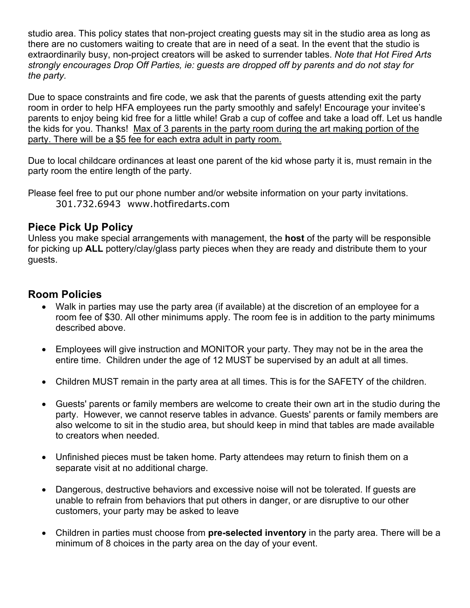studio area. This policy states that non-project creating guests may sit in the studio area as long as there are no customers waiting to create that are in need of a seat. In the event that the studio is extraordinarily busy, non-project creators will be asked to surrender tables. *Note that Hot Fired Arts strongly encourages Drop Off Parties, ie: guests are dropped off by parents and do not stay for the party.*

Due to space constraints and fire code, we ask that the parents of guests attending exit the party room in order to help HFA employees run the party smoothly and safely! Encourage your invitee's parents to enjoy being kid free for a little while! Grab a cup of coffee and take a load off. Let us handle the kids for you. Thanks! Max of 3 parents in the party room during the art making portion of the party. There will be a \$5 fee for each extra adult in party room.

Due to local childcare ordinances at least one parent of the kid whose party it is, must remain in the party room the entire length of the party.

Please feel free to put our phone number and/or website information on your party invitations. 301.732.6943 www.hotfiredarts.com

#### **Piece Pick Up Policy**

Unless you make special arrangements with management, the **host** of the party will be responsible for picking up **ALL** pottery/clay/glass party pieces when they are ready and distribute them to your guests.

#### **Room Policies**

- Walk in parties may use the party area (if available) at the discretion of an employee for a room fee of \$30. All other minimums apply. The room fee is in addition to the party minimums described above.
- Employees will give instruction and MONITOR your party. They may not be in the area the entire time. Children under the age of 12 MUST be supervised by an adult at all times.
- Children MUST remain in the party area at all times. This is for the SAFETY of the children.
- Guests' parents or family members are welcome to create their own art in the studio during the party. However, we cannot reserve tables in advance. Guests' parents or family members are also welcome to sit in the studio area, but should keep in mind that tables are made available to creators when needed.
- Unfinished pieces must be taken home. Party attendees may return to finish them on a separate visit at no additional charge.
- Dangerous, destructive behaviors and excessive noise will not be tolerated. If guests are unable to refrain from behaviors that put others in danger, or are disruptive to our other customers, your party may be asked to leave
- Children in parties must choose from **pre-selected inventory** in the party area. There will be a minimum of 8 choices in the party area on the day of your event.